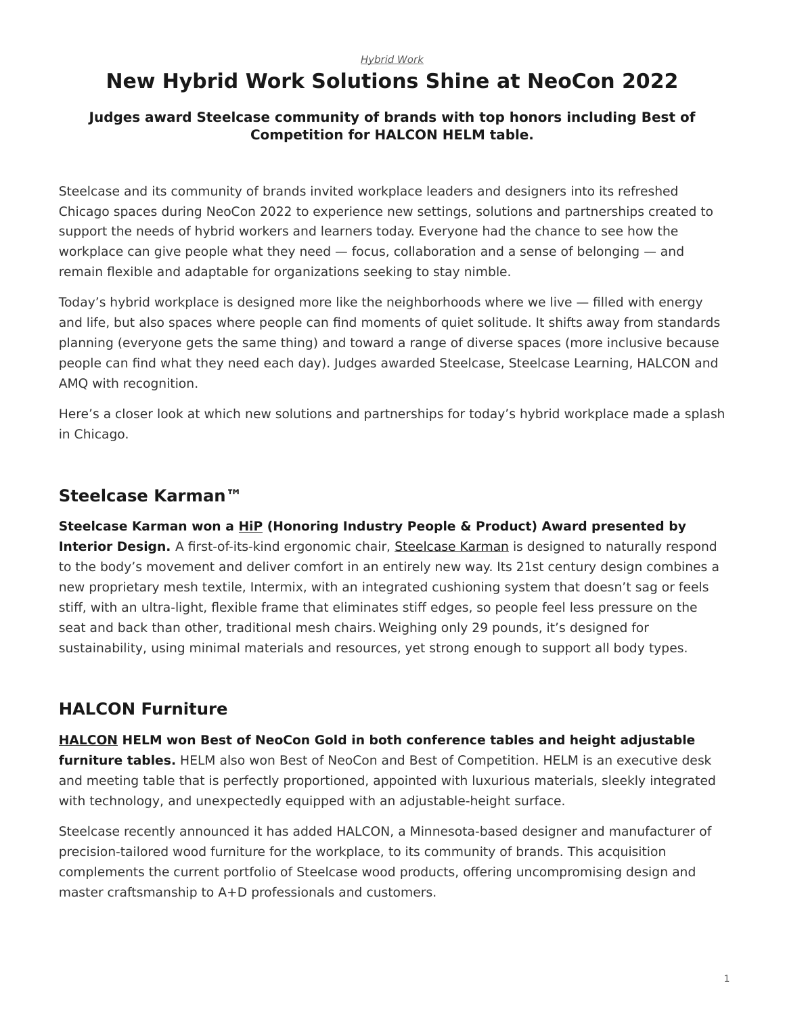#### *[Hybrid Work](https://www.steelcase.com/research/topics/hybrid-work/)*

# <span id="page-0-0"></span>**New Hybrid Work Solutions Shine at NeoCon 2022**

#### **Judges award Steelcase community of brands with top honors including Best of Competition for HALCON HELM table.**

Steelcase and its community of brands invited workplace leaders and designers into its refreshed Chicago spaces during NeoCon 2022 to experience new settings, solutions and partnerships created to support the needs of hybrid workers and learners today. Everyone had the chance to see how the workplace can give people what they need — focus, collaboration and a sense of belonging — and remain flexible and adaptable for organizations seeking to stay nimble.

Today's hybrid workplace is designed more like the neighborhoods where we live — filled with energy and life, but also spaces where people can find moments of quiet solitude. It shifts away from standards planning (everyone gets the same thing) and toward a range of diverse spaces (more inclusive because people can find what they need each day). Judges awarded Steelcase, Steelcase Learning, HALCON and AMQ with recognition.

Here's a closer look at which new solutions and partnerships for today's hybrid workplace made a splash in Chicago.

#### **Steelcase Karman™**

**Steelcase Karman won a [HiP](https://interiordesign.net/award/hip-award-winners-2022/) (Honoring Industry People & Product) Award presented by Interior Design.** A first-of-its-kind ergonomic chair, [Steelcase Karman](https://www.steelcase.com/products/office-chairs/steelcase-karman/) is designed to naturally respond to the body's movement and deliver comfort in an entirely new way. Its 21st century design combines a new proprietary mesh textile, Intermix, with an integrated cushioning system that doesn't sag or feels stiff, with an ultra-light, flexible frame that eliminates stiff edges, so people feel less pressure on the seat and back than other, traditional mesh chairs. Weighing only 29 pounds, it's designed for sustainability, using minimal materials and resources, yet strong enough to support all body types.

## **HALCON Furniture**

**[HALCON](https://www.steelcase.com/brands/halcon/) HELM won Best of NeoCon Gold in both conference tables and height adjustable furniture tables.** HELM also won Best of NeoCon and Best of Competition. HELM is an executive desk and meeting table that is perfectly proportioned, appointed with luxurious materials, sleekly integrated with technology, and unexpectedly equipped with an adjustable-height surface.

Steelcase recently announced it has added HALCON, a Minnesota-based designer and manufacturer of precision-tailored wood furniture for the workplace, to its community of brands. This acquisition complements the current portfolio of Steelcase wood products, offering uncompromising design and master craftsmanship to A+D professionals and customers.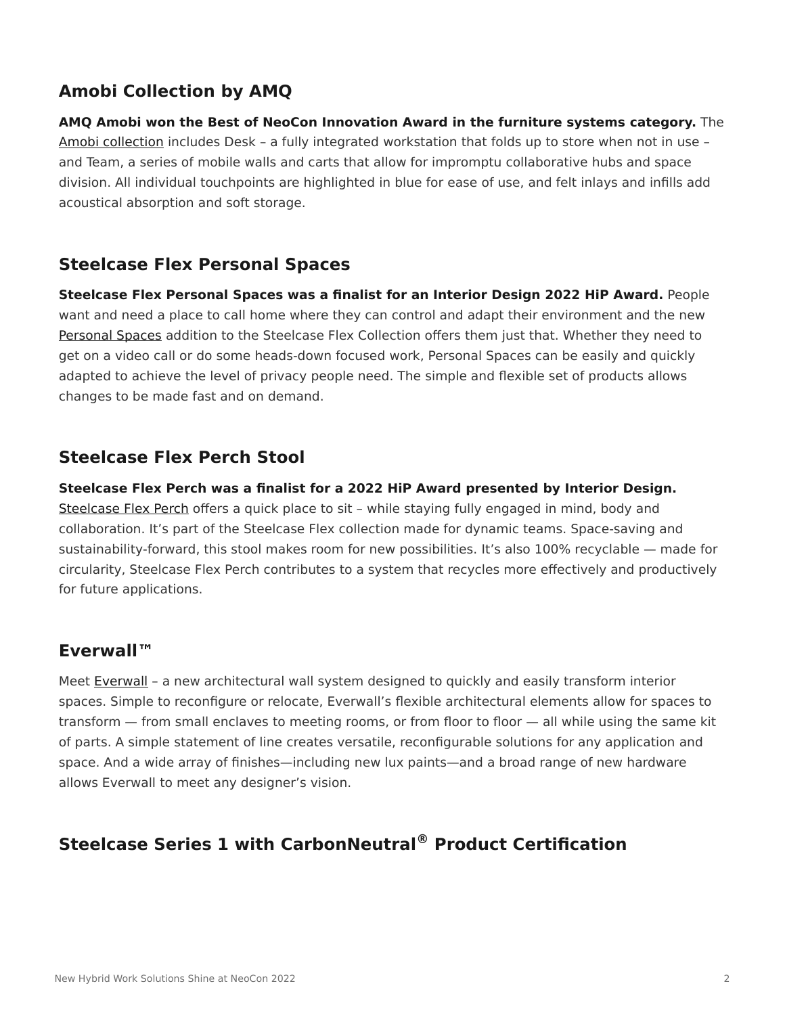# **Amobi Collection by AMQ**

**AMQ Amobi won the Best of NeoCon Innovation Award in the furniture systems category.** The [Amobi collection](https://www.steelcase.com/products/desk-systems/amobi-collection/) includes Desk – a fully integrated workstation that folds up to store when not in use – and Team, a series of mobile walls and carts that allow for impromptu collaborative hubs and space division. All individual touchpoints are highlighted in blue for ease of use, and felt inlays and infills add acoustical absorption and soft storage.

### **Steelcase Flex Personal Spaces**

**Steelcase Flex Personal Spaces was a finalist for an Interior Design 2022 HiP Award.** People want and need a place to call home where they can control and adapt their environment and the new [Personal Spaces](https://www.steelcase.com/products/desk-systems/steelcase-flex-personal-spaces/) addition to the Steelcase Flex Collection offers them just that. Whether they need to get on a video call or do some heads-down focused work, Personal Spaces can be easily and quickly adapted to achieve the level of privacy people need. The simple and flexible set of products allows changes to be made fast and on demand.

### **Steelcase Flex Perch Stool**

**Steelcase Flex Perch was a finalist for a 2022 HiP Award presented by Interior Design.** [Steelcase Flex Perch](https://www.steelcase.com/products/new-seating/steelcase-flex-perch-stool/) offers a quick place to sit – while staying fully engaged in mind, body and collaboration. It's part of the Steelcase Flex collection made for dynamic teams. Space-saving and sustainability-forward, this stool makes room for new possibilities. It's also 100% recyclable — made for circularity, Steelcase Flex Perch contributes to a system that recycles more effectively and productively

#### **Everwall™**

for future applications.

Meet [Everwall](https://www.steelcase.com/products/walls-work-walls/everwall/) - a new architectural wall system designed to quickly and easily transform interior spaces. Simple to reconfigure or relocate, Everwall's flexible architectural elements allow for spaces to transform — from small enclaves to meeting rooms, or from floor to floor — all while using the same kit of parts. A simple statement of line creates versatile, reconfigurable solutions for any application and space. And a wide array of finishes—including new lux paints—and a broad range of new hardware allows Everwall to meet any designer's vision.

# **Steelcase Series 1 with CarbonNeutral® Product Certification**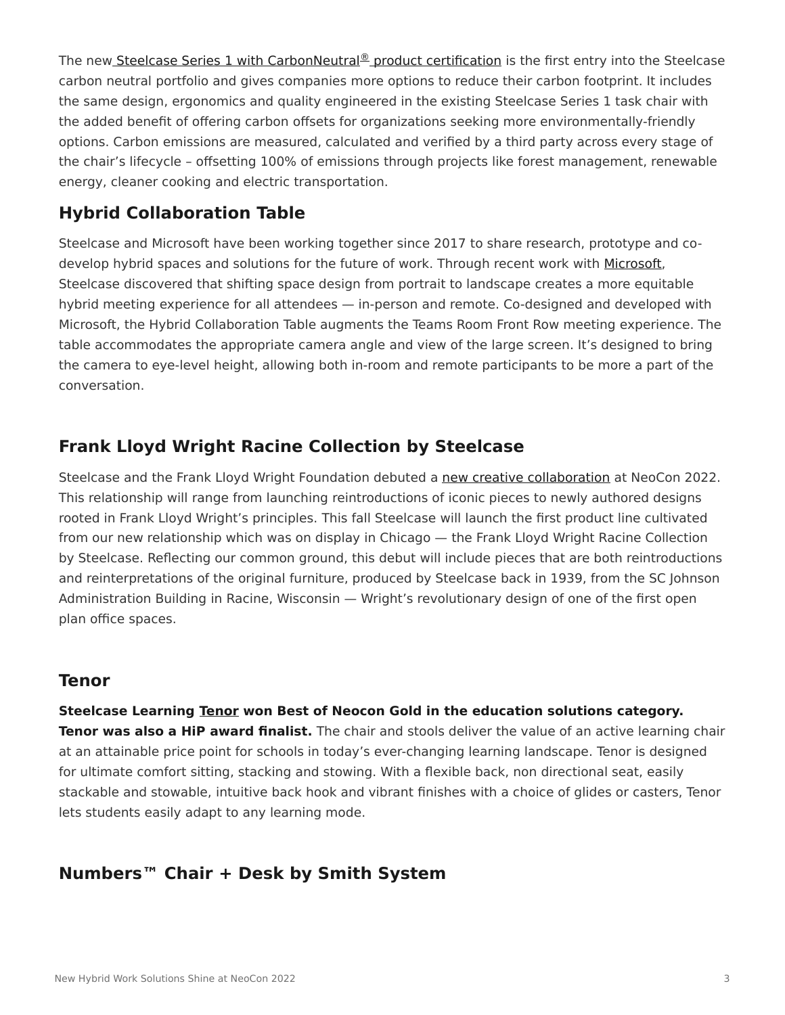The new [Steelcase Series 1 with CarbonNeutral](https://www.steelcase.com/products/office-chairs/steelcase-series-1/)[®](https://www.steelcase.com/products/office-chairs/steelcase-series-1/) product certification is the first entry into the Steelcase carbon neutral portfolio and gives companies more options to reduce their carbon footprint. It includes the same design, ergonomics and quality engineered in the existing Steelcase Series 1 task chair with the added benefit of offering carbon offsets for organizations seeking more environmentally-friendly options. Carbon emissions are measured, calculated and verified by a third party across every stage of the chair's lifecycle – offsetting 100% of emissions through projects like forest management, renewable energy, cleaner cooking and electric transportation.

# **Hybrid Collaboration Table**

Steelcase and Microsoft have been working together since 2017 to share research, prototype and co-develop hybrid spaces and solutions for the future of work. Through recent work with [Microsoft](https://www.steelcase.com/brands/microsoft/), Steelcase discovered that shifting space design from portrait to landscape creates a more equitable hybrid meeting experience for all attendees — in-person and remote. Co-designed and developed with Microsoft, the Hybrid Collaboration Table augments the Teams Room Front Row meeting experience. The table accommodates the appropriate camera angle and view of the large screen. It's designed to bring the camera to eye-level height, allowing both in-room and remote participants to be more a part of the conversation.

# **Frank Lloyd Wright Racine Collection by Steelcase**

Steelcase and the Frank Lloyd Wright Foundation debuted a [new creative collaboration](https://www.steelcase.com/flwcollection/) at NeoCon 2022. This relationship will range from launching reintroductions of iconic pieces to newly authored designs rooted in Frank Lloyd Wright's principles. This fall Steelcase will launch the first product line cultivated from our new relationship which was on display in Chicago — the Frank Lloyd Wright Racine Collection by Steelcase. Reflecting our common ground, this debut will include pieces that are both reintroductions and reinterpretations of the original furniture, produced by Steelcase back in 1939, from the SC Johnson Administration Building in Racine, Wisconsin — Wright's revolutionary design of one of the first open plan office spaces.

#### **Tenor**

**Steelcase Learning [Tenor](https://www.steelcase.com/products/classroom-chairs/tenor/) won Best of Neocon Gold in the education solutions category. Tenor was also a HiP award finalist.** The chair and stools deliver the value of an active learning chair at an attainable price point for schools in today's ever-changing learning landscape. Tenor is designed for ultimate comfort sitting, stacking and stowing. With a flexible back, non directional seat, easily stackable and stowable, intuitive back hook and vibrant finishes with a choice of glides or casters, Tenor lets students easily adapt to any learning mode.

# **Numbers™ Chair + Desk by Smith System**